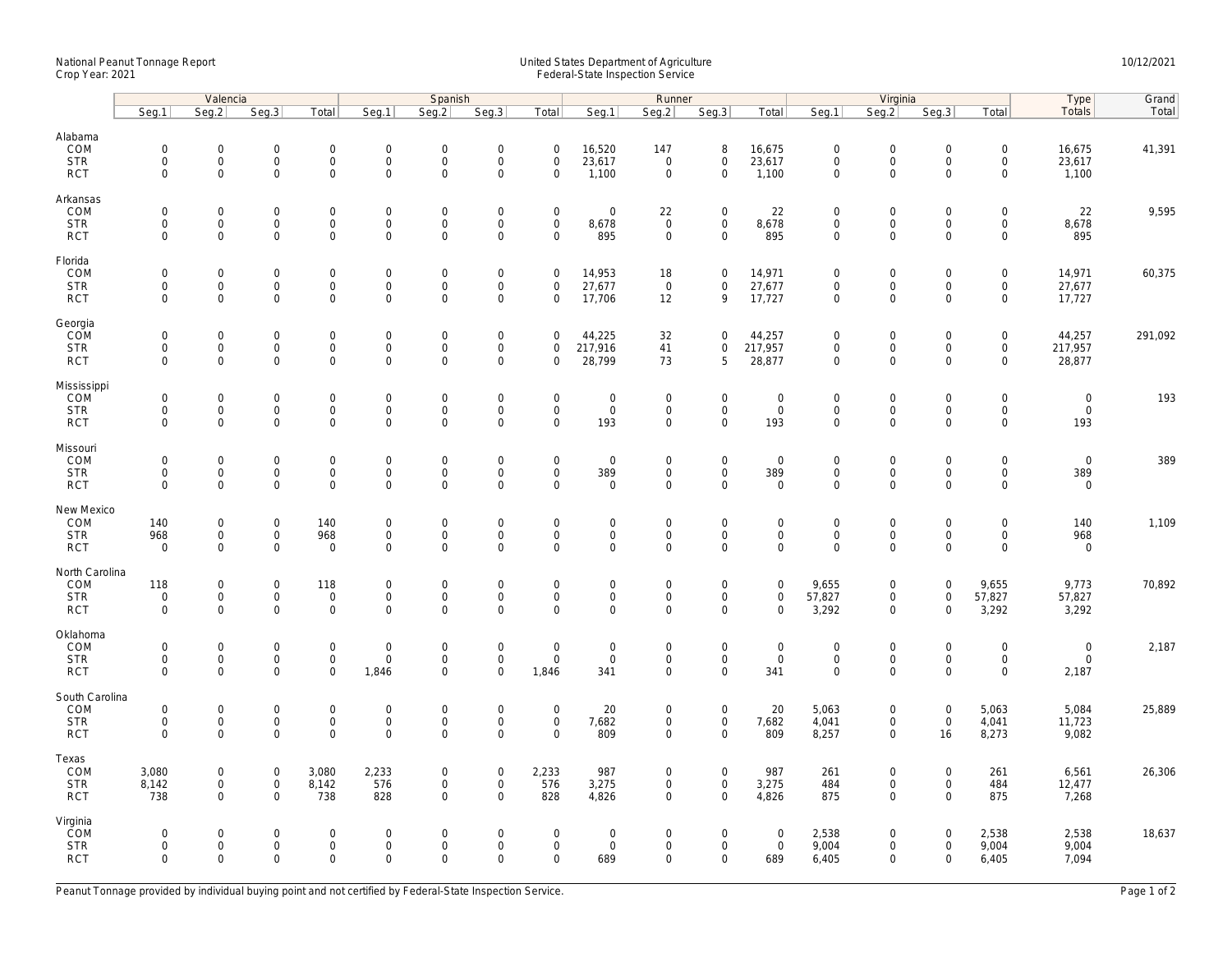## National Peanut Tonnage Report United States Department of Agriculture 10/12/2021<br>Crop Year: 2021 Federal-State Inspection Service

|                                                    | Valencia                                                   |                                                           |                                                   |                                          | Spanish                                            |                                                 |                                                        |                                                   |                                                   | Runner                                                    |                                                    |                                            |                                                   | Virginia                                            |                                                           | Type                                                      | Grand                               |         |
|----------------------------------------------------|------------------------------------------------------------|-----------------------------------------------------------|---------------------------------------------------|------------------------------------------|----------------------------------------------------|-------------------------------------------------|--------------------------------------------------------|---------------------------------------------------|---------------------------------------------------|-----------------------------------------------------------|----------------------------------------------------|--------------------------------------------|---------------------------------------------------|-----------------------------------------------------|-----------------------------------------------------------|-----------------------------------------------------------|-------------------------------------|---------|
|                                                    | Seg.1                                                      | Seq.2                                                     | Seq.3                                             | Total                                    | Seg.1                                              | Seq.2                                           | Seq.3                                                  | Total                                             | Seq.1                                             | Seg.2                                                     | Seq.3                                              | Total                                      | Seg.1                                             | Seg.2                                               | Seq.3                                                     | Total                                                     | Totals                              | Total   |
| Alabama<br>COM<br><b>STR</b><br><b>RCT</b>         | $\mathsf 0$<br>$\mathbf 0$<br>$\mathsf{O}\xspace$          | $\mathsf{O}\xspace$<br>$\mathsf{O}\xspace$<br>$\mathbf 0$ | $\mathbf 0$<br>$\mathbf 0$<br>$\mathbf 0$         | 0<br>0<br>$\mathsf{O}$                   | $\mathbf 0$<br>$\mathbf 0$<br>$\mathbf{0}$         | 0<br>0<br>$\mathbf{0}$                          | $\mathbf 0$<br>$\mathbf 0$<br>$\mathbf 0$              | $\mathbf 0$<br>$\mathbf 0$<br>$\mathbf 0$         | 16,520<br>23,617<br>1,100                         | 147<br>$\overline{0}$<br>$\mathbf 0$                      | 8<br>0<br>$\mathsf{O}\xspace$                      | 16,675<br>23,617<br>1,100                  | $\mathbf 0$<br>$\mathbf 0$<br>$\mathsf 0$         | $\mathbf 0$<br>$\boldsymbol{0}$<br>$\mathbf 0$      | $\mathbf 0$<br>$\mathbf 0$<br>$\mathbf 0$                 | $\mathsf{O}\xspace$<br>$\mathsf{O}\xspace$<br>$\mathbf 0$ | 16,675<br>23,617<br>1,100           | 41,391  |
| Arkansas<br>COM<br><b>STR</b><br><b>RCT</b>        | $\mathsf{O}\xspace$<br>$\mathsf{O}\xspace$<br>$\mathbf 0$  | $\mathsf{O}\xspace$<br>$\mathbf 0$<br>$\mathbf 0$         | $\mathsf{O}\xspace$<br>$\mathbf 0$<br>$\mathbf 0$ | 0<br>0<br>$\mathsf{O}$                   | $\mathsf{O}\xspace$<br>$\mathbf{0}$<br>$\mathbf 0$ | $\mathbf 0$<br>$\mathbf{0}$<br>0                | $\boldsymbol{0}$<br>$\mathbf 0$<br>$\mathsf 0$         | $\mathsf{O}\xspace$<br>$\mathbf 0$<br>$\mathbf 0$ | $\mathbf 0$<br>8,678<br>895                       | 22<br>$\overline{0}$<br>$\mathsf{O}\xspace$               | 0<br>0<br>$\mathsf{O}$                             | 22<br>8,678<br>895                         | $\mathbf 0$<br>$\mathbf{0}$<br>$\mathsf 0$        | $\boldsymbol{0}$<br>$\boldsymbol{0}$<br>$\mathbf 0$ | $\mathsf{O}\xspace$<br>$\mathbf 0$<br>$\mathbf 0$         | $\mathbf 0$<br>$\mathbf 0$<br>$\mathbf 0$                 | 22<br>8,678<br>895                  | 9,595   |
| Florida<br>COM<br><b>STR</b><br><b>RCT</b>         | $\mathbf 0$<br>$\mathbf 0$<br>$\mathbf 0$                  | $\mathsf{O}\xspace$<br>$\mathsf{O}\xspace$<br>$\mathbf 0$ | $\mathsf{O}\xspace$<br>$\mathbf 0$<br>$\mathbf 0$ | 0<br>$\mathsf{O}$<br>$\mathbf 0$         | $\mathsf{O}\xspace$<br>$\mathbf 0$<br>$\mathbf 0$  | 0<br>$\mathbf 0$<br>$\mathbf 0$                 | $\boldsymbol{0}$<br>$\mathbf 0$<br>$\mathsf{O}\xspace$ | $\mathbf 0$<br>$\mathbf 0$<br>$\mathbf 0$         | 14,953<br>27,677<br>17,706                        | 18<br>$\overline{0}$<br>12                                | 0<br>0<br>9                                        | 14,971<br>27,677<br>17,727                 | $\mathsf{O}\xspace$<br>$\mathsf 0$<br>$\mathbf 0$ | $\boldsymbol{0}$<br>$\mathbf 0$<br>$\mathbf 0$      | $\mathsf{O}\xspace$<br>$\mathsf{O}\xspace$<br>$\mathbf 0$ | $\mathsf{O}\xspace$<br>$\mathsf{O}\xspace$<br>$\mathbf 0$ | 14,971<br>27,677<br>17,727          | 60,375  |
| Georgia<br>COM<br><b>STR</b><br><b>RCT</b>         | $\mathsf 0$<br>$\mathbf 0$<br>$\mathbf 0$                  | $\mathsf{O}\xspace$<br>$\mathsf{O}\xspace$<br>$\Omega$    | $\mathsf{O}\xspace$<br>$\mathbf 0$<br>$\Omega$    | 0<br>$\mathbf 0$<br>$\mathbf 0$          | $\mathbf 0$<br>$\mathbf 0$<br>$\mathbf{0}$         | 0<br>$\mathbf 0$<br>$\mathbf{0}$                | $\mathbf 0$<br>$\boldsymbol{0}$<br>$\mathbf 0$         | $\mathbf 0$<br>$\mathbf 0$<br>$\mathbf 0$         | 44,225<br>217,916<br>28,799                       | 32<br>41<br>73                                            | 0<br>0<br>5                                        | 44,257<br>217,957<br>28,877                | $\mathbf 0$<br>$\mathsf 0$<br>$\mathbf{0}$        | $\mathbf 0$<br>$\mathbf 0$<br>$\mathbf 0$           | $\mathsf{O}\xspace$<br>$\mathsf{O}\xspace$<br>$\Omega$    | $\mathbf 0$<br>$\mathbf 0$<br>$\mathbf 0$                 | 44,257<br>217,957<br>28,877         | 291,092 |
| Mississippi<br>COM<br><b>STR</b><br><b>RCT</b>     | $\mathsf{O}\xspace$<br>$\mathsf{O}\xspace$<br>$\mathbf{0}$ | $\mathsf{O}\xspace$<br>$\mathsf{O}\xspace$<br>$\mathbf 0$ | $\mathbf 0$<br>$\mathbf 0$<br>$\mathbf 0$         | 0<br>0<br>$\mathbf{O}$                   | 0<br>$\mathbf 0$<br>$\mathbf{0}$                   | $\Omega$<br>$\mathsf{O}\xspace$<br>$\mathbf{0}$ | $\boldsymbol{0}$<br>$\mathbf 0$<br>$\mathbf{0}$        | $\mathbf 0$<br>$\mathsf{O}\xspace$<br>$\mathbf 0$ | $\mathbf 0$<br>$\mathsf{O}\xspace$<br>193         | $\mathsf{O}\xspace$<br>$\mathsf{O}\xspace$<br>$\mathbf 0$ | 0<br>0<br>$\mathbf 0$                              | $\mathbf 0$<br>$\mathbf 0$<br>193          | $\mathbf 0$<br>$\mathbf 0$<br>$\mathbf{0}$        | $\mathbf 0$<br>$\boldsymbol{0}$<br>$\mathbf{0}$     | $\mathbf 0$<br>$\mathsf{O}\xspace$<br>$\mathbf 0$         | $\mathsf{O}\xspace$<br>$\mathsf{O}\xspace$<br>$\mathbf 0$ | $\mathbf 0$<br>$\mathbf 0$<br>193   | 193     |
| Missouri<br>COM<br><b>STR</b><br><b>RCT</b>        | $\mathbf 0$<br>$\mathsf 0$<br>$\mathbf 0$                  | $\mathsf{O}\xspace$<br>$\mathsf{O}\xspace$<br>$\mathbf 0$ | $\mathsf{O}\xspace$<br>$\mathbf 0$<br>$\mathbf 0$ | 0<br>$\mathsf{O}$<br>$\mathsf{O}\xspace$ | $\mathbf 0$<br>$\mathbf 0$<br>$\mathbf 0$          | $\Omega$<br>0<br>0                              | $\mathsf{O}\xspace$<br>$\mathsf{O}$<br>$\mathbf{0}$    | $\mathbf 0$<br>$\mathsf{O}\xspace$<br>$\mathbf 0$ | $\mathbf 0$<br>389<br>$\mathbf 0$                 | $\mathbf 0$<br>$\mathsf{O}\xspace$<br>$\mathbf 0$         | 0<br>$\mathsf{O}$<br>$\mathbf 0$                   | $\mathbf 0$<br>389<br>$\mathbf 0$          | $\mathbf{0}$<br>$\mathsf 0$<br>$\mathsf 0$        | $\boldsymbol{0}$<br>$\mathbf 0$<br>$\mathbf{0}$     | $\mathbf 0$<br>$\mathsf{O}\xspace$<br>$\mathbf 0$         | $\mathsf{O}\xspace$<br>$\mathsf{O}\xspace$<br>$\mathbf 0$ | $\mathbf{0}$<br>389<br>$\mathbf 0$  | 389     |
| New Mexico<br>COM<br><b>STR</b><br><b>RCT</b>      | 140<br>968<br>$\mathbf 0$                                  | $\mathbf 0$<br>$\mathsf{O}\xspace$<br>$\mathbf 0$         | $\mathbf 0$<br>$\mathbf 0$<br>$\mathbf 0$         | 140<br>968<br>$\mathbf 0$                | $\mathbf 0$<br>$\mathbf 0$<br>$\mathbf 0$          | $\mathbf 0$<br>$\mathbf 0$<br>0                 | $\mathbf 0$<br>$\mathsf{O}\xspace$<br>$\mathbf 0$      | $\mathbf 0$<br>$\mathbf 0$<br>$\mathbf 0$         | $\mathbf 0$<br>$\mathsf{O}\xspace$<br>$\mathbf 0$ | $\mathbf 0$<br>$\mathsf{O}\xspace$<br>$\mathbf 0$         | $\mathbf 0$<br>0<br>0                              | $\mathbf{0}$<br>$\mathbf 0$<br>$\mathsf 0$ | $\mathbf{0}$<br>$\mathbf 0$<br>$\mathbf 0$        | $\mathbf 0$<br>$\boldsymbol{0}$<br>$\mathbf 0$      | $\mathbf 0$<br>$\mathsf{O}\xspace$<br>$\mathbf 0$         | $\mathbf 0$<br>$\mathbf 0$<br>$\mathbf 0$                 | 140<br>968<br>$\mathbf 0$           | 1,109   |
| North Carolina<br>COM<br><b>STR</b><br><b>RCT</b>  | 118<br>$\mathbf 0$<br>$\mathbf 0$                          | $\mathsf{O}\xspace$<br>$\mathsf{O}\xspace$<br>$\mathbf 0$ | $\mathbf 0$<br>$\mathbf 0$<br>$\mathbf 0$         | 118<br>0<br>$\mathsf{O}\xspace$          | $\mathsf{O}\xspace$<br>$\mathbf 0$<br>$\mathbf 0$  | 0<br>$\mathbf 0$<br>$\mathsf{O}$                | $\boldsymbol{0}$<br>$\mathsf{O}\xspace$<br>$\mathbf 0$ | $\mathsf{O}\xspace$<br>$\mathbf 0$<br>$\mathbf 0$ | $\mathsf 0$<br>$\mathsf{O}\xspace$<br>$\mathbf 0$ | $\mathsf{O}\xspace$<br>$\mathbf 0$<br>$\mathbf 0$         | 0<br>0<br>$\mathsf{O}\xspace$                      | $\mathbf 0$<br>$\mathbf 0$<br>$\mathbf 0$  | 9,655<br>57,827<br>3,292                          | $\mathbf 0$<br>$\mathsf 0$<br>$\mathbf 0$           | $\mathsf{O}\xspace$<br>$\mathbf 0$<br>$\mathbf 0$         | 9,655<br>57,827<br>3,292                                  | 9,773<br>57,827<br>3,292            | 70,892  |
| Oklahoma<br>COM<br><b>STR</b><br><b>RCT</b>        | $\mathsf{O}\xspace$<br>$\mathbf 0$<br>$\mathbf 0$          | $\mathsf{O}\xspace$<br>$\mathsf{O}\xspace$<br>$\mathbf 0$ | $\mathsf{O}\xspace$<br>$\mathbf 0$<br>$\mathbf 0$ | 0<br>$\mathbf 0$<br>0                    | $\mathsf{O}\xspace$<br>$\mathbf{0}$<br>1,846       | $\mathbf 0$<br>$\mathbf{0}$<br>0                | $\boldsymbol{0}$<br>$\mathbf 0$<br>$\mathbf 0$         | $\mathbf 0$<br>$\mathbf 0$<br>1,846               | $\mathsf{O}\xspace$<br>$\mathbf 0$<br>341         | $\mathbf 0$<br>$\mathbf{0}$<br>$\mathbf 0$                | 0<br>$\mathsf{O}$<br>0                             | $\mathbf 0$<br>$\mathbf 0$<br>341          | $\mathbf 0$<br>$\mathbf 0$<br>$\mathbf 0$         | $\boldsymbol{0}$<br>$\mathbf 0$<br>$\mathbf 0$      | $\mathbf 0$<br>$\mathsf{O}\xspace$<br>$\mathbf 0$         | $\mathsf{O}\xspace$<br>$\mathsf{O}\xspace$<br>$\mathbf 0$ | $\mathbf 0$<br>$\mathbf 0$<br>2,187 | 2,187   |
| South Carolina<br>COM<br><b>STR</b><br><b>RCT</b>  | $\mathsf{O}\xspace$<br>$\mathbf 0$<br>$\Omega$             | $\mathsf{O}\xspace$<br>$\mathsf{O}\xspace$<br>$\Omega$    | $\mathsf{O}\xspace$<br>$\mathbf 0$<br>$\Omega$    | 0<br>$\mathsf{O}$<br>0                   | $\mathbf 0$<br>$\mathbf 0$<br>$\Omega$             | 0<br>$\mathbf 0$<br>$\Omega$                    | $\mathsf{O}\xspace$<br>$\mathbf 0$<br>$\mathbf 0$      | $\mathsf{O}\xspace$<br>$\mathsf{O}$<br>$\Omega$   | 20<br>7,682<br>809                                | $\mathsf{O}\xspace$<br>$\mathbf 0$<br>$\Omega$            | $\mathsf{O}\xspace$<br>$\mathsf{O}$<br>0           | 20<br>7,682<br>809                         | 5,063<br>4,041<br>8,257                           | $\boldsymbol{0}$<br>$\mathbf 0$<br>$\mathbf 0$      | $\mathsf{O}\xspace$<br>$\mathsf{O}\xspace$<br>16          | 5,063<br>4,041<br>8,273                                   | 5,084<br>11,723<br>9,082            | 25,889  |
| Texas<br>COM<br><b>STR</b><br><b>RCT</b>           | 3,080<br>8,142<br>738                                      | $\mathsf{O}\xspace$<br>$\mathsf{O}\xspace$<br>$\mathbf 0$ | $\mathbf 0$<br>$\mathbf 0$<br>$\mathbf 0$         | 3,080<br>8,142<br>738                    | 2,233<br>576<br>828                                | 0<br>$\mathbf 0$<br>$\mathbf{0}$                | $\boldsymbol{0}$<br>$\mathbf 0$<br>$\mathbf 0$         | 2,233<br>576<br>828                               | 987<br>3,275<br>4,826                             | $\mathbf 0$<br>$\mathsf{O}\xspace$<br>$\mathbf 0$         | $\mathsf{O}\xspace$<br>$\mathsf{O}$<br>$\mathbf 0$ | 987<br>3,275<br>4,826                      | 261<br>484<br>875                                 | $\boldsymbol{0}$<br>$\mathbf 0$<br>$\mathbf 0$      | $\mathbf 0$<br>$\mathsf{O}\xspace$<br>$\Omega$            | 261<br>484<br>875                                         | 6,561<br>12,477<br>7,268            | 26,306  |
| Virginia<br><b>COM</b><br><b>STR</b><br><b>RCT</b> | $\mathbf 0$<br>$\mathbf 0$<br>$\mathbf 0$                  | $\mathbf 0$<br>$\mathsf{O}\xspace$<br>$\mathbf 0$         | $\mathbf 0$<br>$\mathbf 0$<br>$\mathbf 0$         | 0<br>0<br>$\mathbf 0$                    | $\mathsf{O}\xspace$<br>$\mathbf 0$<br>$\mathbf{0}$ | $\Omega$<br>$\mathbf 0$<br>$\mathbf 0$          | $\mathbf 0$<br>$\mathbf 0$<br>$\mathbf{0}$             | $\Omega$<br>$\mathbf 0$<br>$\mathbf 0$            | $\mathbf 0$<br>$\mathsf{O}\xspace$<br>689         | $\mathbf 0$<br>$\mathbf 0$<br>$\mathbf 0$                 | 0<br>0<br>$\mathbf 0$                              | $\mathbf 0$<br>$\mathsf{O}$<br>689         | 2,538<br>9,004<br>6,405                           | $\mathbf 0$<br>$\boldsymbol{0}$<br>$\mathbf 0$      | $\mathbf 0$<br>$\mathsf{O}\xspace$<br>$\mathbf 0$         | 2,538<br>9,004<br>6,405                                   | 2,538<br>9,004<br>7,094             | 18,637  |

Peanut Tonnage provided by individual buying point and not certified by Federal-State Inspection Service. Page 1 of 2